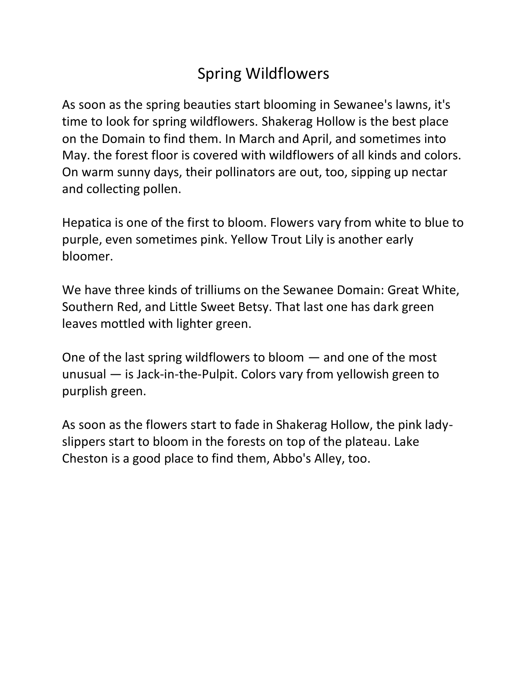#### Spring Wildflowers

As soon as the spring beauties start blooming in Sewanee's lawns, it's time to look for spring wildflowers. Shakerag Hollow is the best place on the Domain to find them. In March and April, and sometimes into May. the forest floor is covered with wildflowers of all kinds and colors. On warm sunny days, their pollinators are out, too, sipping up nectar and collecting pollen.

Hepatica is one of the first to bloom. Flowers vary from white to blue to purple, even sometimes pink. Yellow Trout Lily is another early bloomer.

We have three kinds of trilliums on the Sewanee Domain: Great White, Southern Red, and Little Sweet Betsy. That last one has dark green leaves mottled with lighter green.

One of the last spring wildflowers to bloom — and one of the most unusual — is Jack-in-the-Pulpit. Colors vary from yellowish green to purplish green.

As soon as the flowers start to fade in Shakerag Hollow, the pink ladyslippers start to bloom in the forests on top of the plateau. Lake Cheston is a good place to find them, Abbo's Alley, too.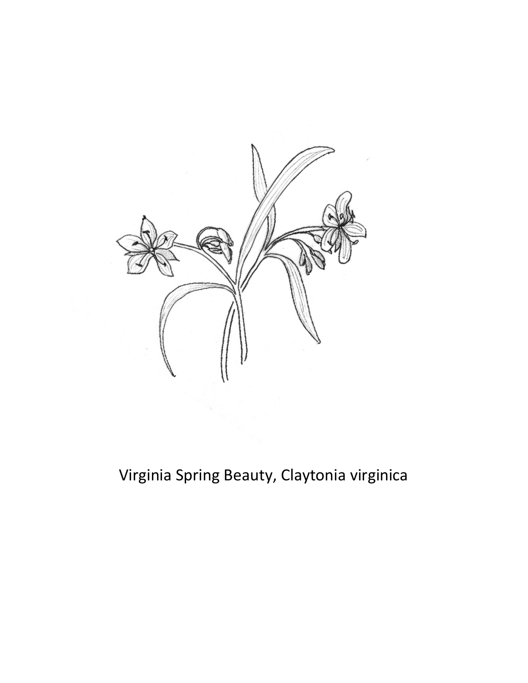

### Virginia Spring Beauty, Claytonia virginica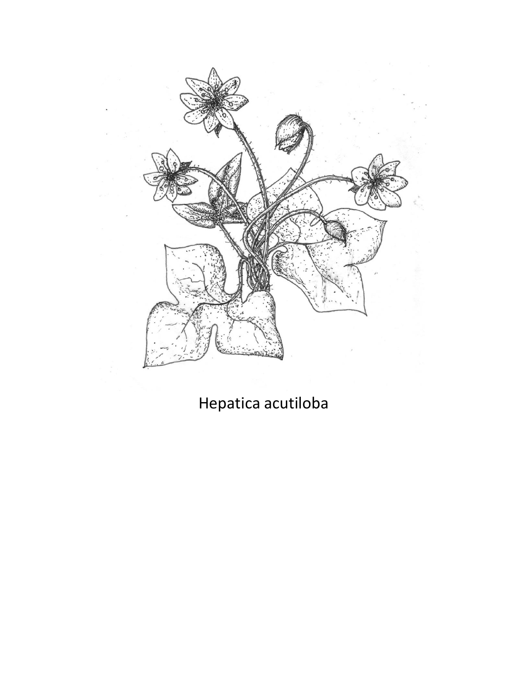

### Hepatica acutiloba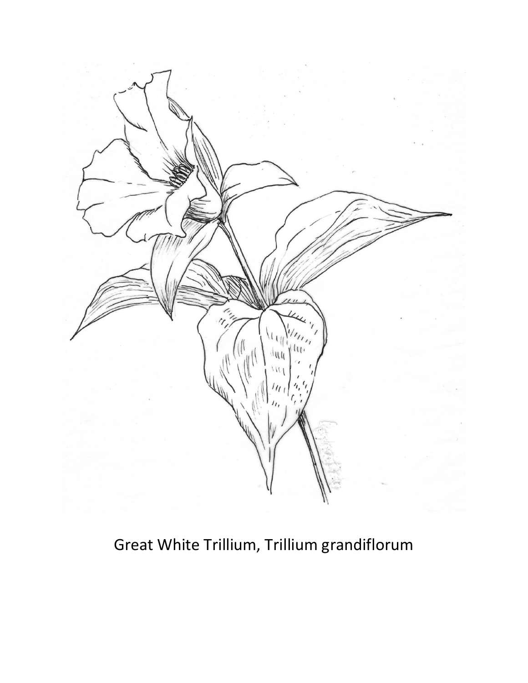

Great White Trillium, Trillium grandiflorum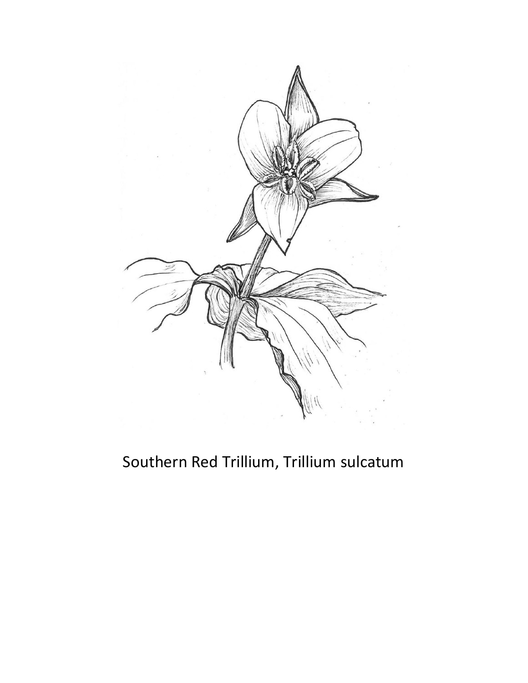

#### Southern Red Trillium, Trillium sulcatum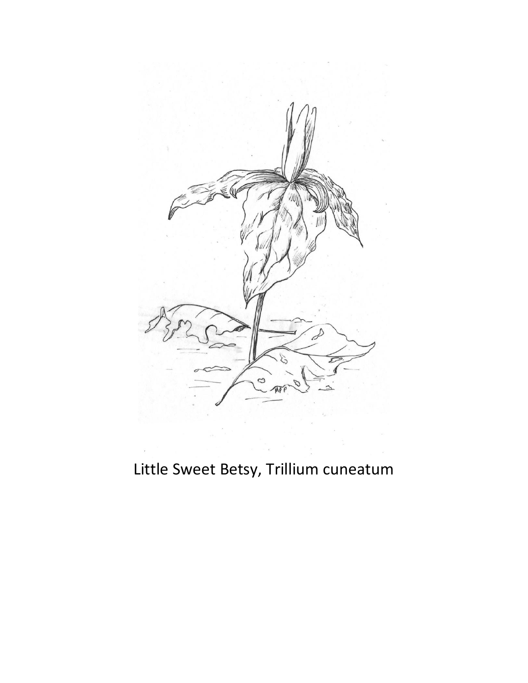

# Little Sweet Betsy, Trillium cuneatum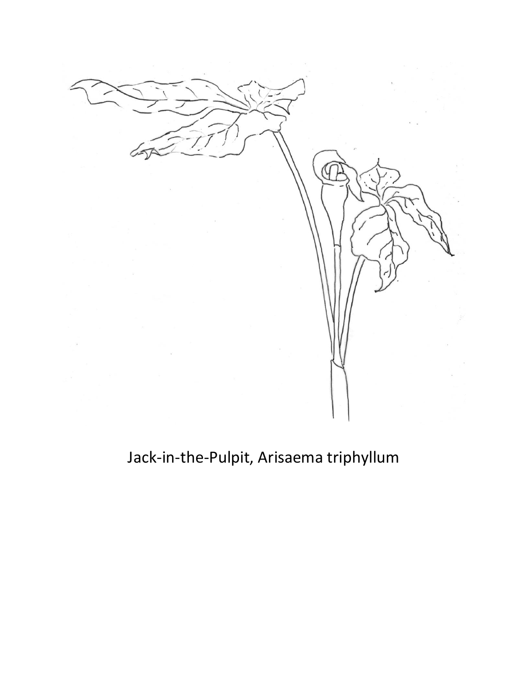

## Jack-in-the-Pulpit, Arisaema triphyllum